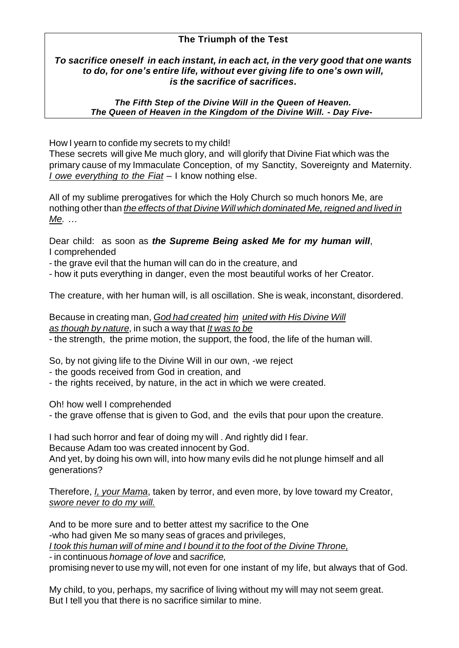## **The Triumph of the Test**

## *To sacrifice oneself in each instant, in each act, in the very good that one wants to do, for one's entire life, without ever giving life to one's own will, is the sacrifice of sacrifices.*

*The Fifth Step of the Divine Will in the Queen of Heaven.* *The Queen of Heaven in the Kingdom of the Divine Will. - Day Five***-**

How I yearn to confide my secrets to my child!

These secrets will give Me much glory, and will glorify that Divine Fiat which was the primary cause of my Immaculate Conception, of my Sanctity, Sovereignty and Maternity. *I owe everything to the Fiat* – I know nothing else.

All of my sublime prerogatives for which the Holy Church so much honors Me, are nothing other than *the effects of that Divine Will which dominated Me, reigned and lived in Me. …*

Dear child: as soon as *the Supreme Being asked Me for my human will*, I comprehended

- the grave evil that the human will can do in the creature, and

- how it puts everything in danger, even the most beautiful works of her Creator.

The creature, with her human will, is all oscillation. She is weak, inconstant, disordered.

Because in creating man, *God had created him united with His Divine Will as though by nature*, in such a way that *It was to be* - the strength, the prime motion, the support, the food, the life of the human will.

So, by not giving life to the Divine Will in our own, -we reject

- the goods received from God in creation, and

- the rights received, by nature, in the act in which we were created.

Oh! how well I comprehended

- the grave offense that is given to God, and the evils that pour upon the creature.

I had such horror and fear of doing my will . And rightly did I fear.

Because Adam too was created innocent by God.

And yet, by doing his own will, into how many evils did he not plunge himself and all generations?

Therefore, *I, your Mama*, taken by terror, and even more, by love toward my Creator, *swore never to do my will.*

And to be more sure and to better attest my sacrifice to the One -who had given Me so many seas of graces and privileges, *I took this human will of mine and I bound it to the foot of the Divine Throne,* - in continuous *homage of love* and *sacrifice,*

promising never to use my will, not even for one instant of my life, but always that of God.

My child, to you, perhaps, my sacrifice of living without my will may not seem great. But I tell you that there is no sacrifice similar to mine.